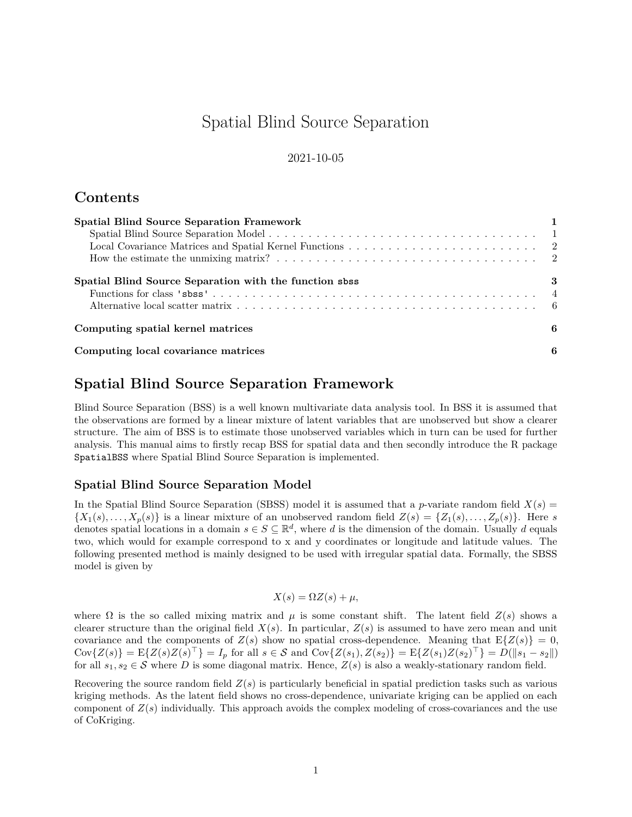# Spatial Blind Source Separation

### 2021-10-05

# **Contents**

| <b>Spatial Blind Source Separation Framework</b>       |   |
|--------------------------------------------------------|---|
|                                                        |   |
|                                                        |   |
|                                                        |   |
| Spatial Blind Source Separation with the function sbss | 3 |
|                                                        |   |
|                                                        |   |
| Computing spatial kernel matrices                      | 6 |
| Computing local covariance matrices                    | 6 |

# <span id="page-0-0"></span>**Spatial Blind Source Separation Framework**

Blind Source Separation (BSS) is a well known multivariate data analysis tool. In BSS it is assumed that the observations are formed by a linear mixture of latent variables that are unobserved but show a clearer structure. The aim of BSS is to estimate those unobserved variables which in turn can be used for further analysis. This manual aims to firstly recap BSS for spatial data and then secondly introduce the R package SpatialBSS where Spatial Blind Source Separation is implemented.

### <span id="page-0-1"></span>**Spatial Blind Source Separation Model**

In the Spatial Blind Source Separation (SBSS) model it is assumed that a *p*-variate random field  $X(s)$  =  $\{X_1(s), \ldots, X_p(s)\}\$ is a linear mixture of an unobserved random field  $Z(s) = \{Z_1(s), \ldots, Z_p(s)\}\$ . Here *s* denotes spatial locations in a domain  $s \in S \subseteq \mathbb{R}^d$ , where *d* is the dimension of the domain. Usually *d* equals two, which would for example correspond to x and y coordinates or longitude and latitude values. The following presented method is mainly designed to be used with irregular spatial data. Formally, the SBSS model is given by

$$
X(s) = \Omega Z(s) + \mu,
$$

where  $\Omega$  is the so called mixing matrix and  $\mu$  is some constant shift. The latent field  $Z(s)$  shows a clearer structure than the original field  $X(s)$ . In particular,  $Z(s)$  is assumed to have zero mean and unit covariance and the components of  $Z(s)$  show no spatial cross-dependence. Meaning that  $E\{Z(s)\}=0$ ,  $Cov\{Z(s)\} = \mathbb{E}\{Z(s)Z(s)^{\top}\} = I_p$  for all  $s \in \mathcal{S}$  and  $Cov\{Z(s_1), Z(s_2)\} = \mathbb{E}\{Z(s_1)Z(s_2)^{\top}\} = D(||s_1 - s_2||)$ for all  $s_1, s_2 \in S$  where *D* is some diagonal matrix. Hence,  $Z(s)$  is also a weakly-stationary random field.

Recovering the source random field  $Z(s)$  is particularly beneficial in spatial prediction tasks such as various kriging methods. As the latent field shows no cross-dependence, univariate kriging can be applied on each component of  $Z(s)$  individually. This approach avoids the complex modeling of cross-covariances and the use of CoKriging.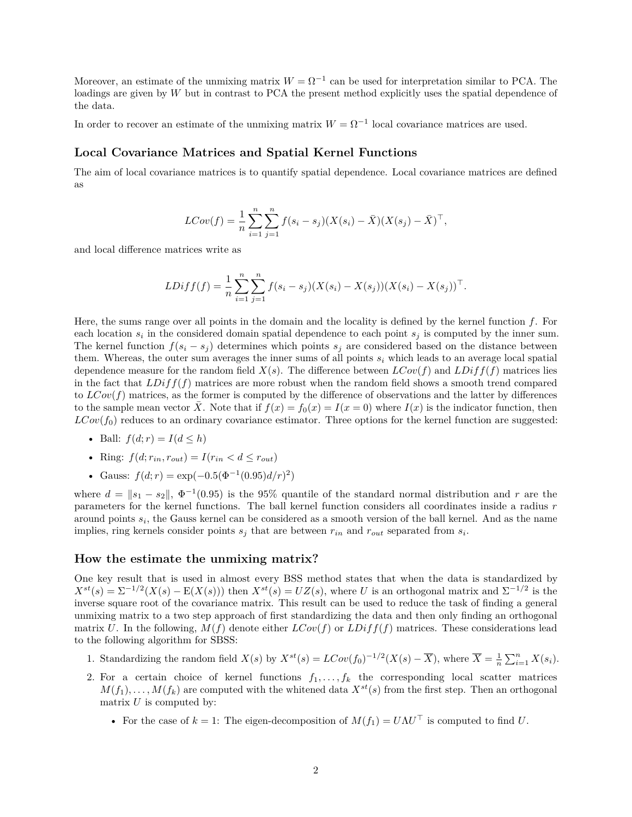Moreover, an estimate of the unmixing matrix  $W = \Omega^{-1}$  can be used for interpretation similar to PCA. The loadings are given by *W* but in contrast to PCA the present method explicitly uses the spatial dependence of the data.

In order to recover an estimate of the unmixing matrix  $W = \Omega^{-1}$  local covariance matrices are used.

### <span id="page-1-0"></span>**Local Covariance Matrices and Spatial Kernel Functions**

The aim of local covariance matrices is to quantify spatial dependence. Local covariance matrices are defined as

$$
LCov(f) = \frac{1}{n} \sum_{i=1}^{n} \sum_{j=1}^{n} f(s_i - s_j)(X(s_i) - \bar{X})(X(s_j) - \bar{X})^{\top},
$$

and local difference matrices write as

$$
LDiff(f) = \frac{1}{n} \sum_{i=1}^{n} \sum_{j=1}^{n} f(s_i - s_j)(X(s_i) - X(s_j))(X(s_i) - X(s_j))^{\top}.
$$

Here, the sums range over all points in the domain and the locality is defined by the kernel function *f*. For each location  $s_i$  in the considered domain spatial dependence to each point  $s_j$  is computed by the inner sum. The kernel function  $f(s_i - s_j)$  determines which points  $s_j$  are considered based on the distance between them. Whereas, the outer sum averages the inner sums of all points  $s_i$  which leads to an average local spatial dependence measure for the random field  $X(s)$ . The difference between  $LCov(f)$  and  $LDiff(f)$  matrices lies in the fact that *LDiff*(*f*) matrices are more robust when the random field shows a smooth trend compared to  $LCov(f)$  matrices, as the former is computed by the difference of observations and the latter by differences to the sample mean vector  $\overline{X}$ . Note that if  $f(x) = f_0(x) = I(x = 0)$  where  $I(x)$  is the indicator function, then  $LCov(f_0)$  reduces to an ordinary covariance estimator. Three options for the kernel function are suggested:

- Ball:  $f(d; r) = I(d \leq h)$
- Ring:  $f(d; r_{in}, r_{out}) = I(r_{in} < d \leq r_{out})$
- Gauss:  $f(d; r) = \exp(-0.5(\Phi^{-1}(0.95)d/r)^2)$

where  $d = \|s_1 - s_2\|$ ,  $\Phi^{-1}(0.95)$  is the 95% quantile of the standard normal distribution and r are the parameters for the kernel functions. The ball kernel function considers all coordinates inside a radius *r* around points *s<sup>i</sup>* , the Gauss kernel can be considered as a smooth version of the ball kernel. And as the name implies, ring kernels consider points  $s_j$  that are between  $r_{in}$  and  $r_{out}$  separated from  $s_i$ .

#### <span id="page-1-1"></span>**How the estimate the unmixing matrix?**

One key result that is used in almost every BSS method states that when the data is standardized by  $X^{st}(s) = \Sigma^{-1/2}(X(s) - \mathbb{E}(X(s)))$  then  $X^{st}(s) = UZ(s)$ , where *U* is an orthogonal matrix and  $\Sigma^{-1/2}$  is the inverse square root of the covariance matrix. This result can be used to reduce the task of finding a general unmixing matrix to a two step approach of first standardizing the data and then only finding an orthogonal matrix *U*. In the following,  $M(f)$  denote either  $LCov(f)$  or  $LDiff(f)$  matrices. These considerations lead to the following algorithm for SBSS:

- 1. Standardizing the random field  $X(s)$  by  $X^{st}(s) = LCov(f_0)^{-1/2}(X(s) \overline{X})$ , where  $\overline{X} = \frac{1}{n} \sum_{i=1}^{n} X(s_i)$ .
- 2. For a certain choice of kernel functions  $f_1, \ldots, f_k$  the corresponding local scatter matrices  $M(f_1), \ldots, M(f_k)$  are computed with the whitened data  $X^{st}(s)$  from the first step. Then an orthogonal matrix *U* is computed by:
	- For the case of  $k = 1$ : The eigen-decomposition of  $M(f_1) = U\Lambda U^{\top}$  is computed to find *U*.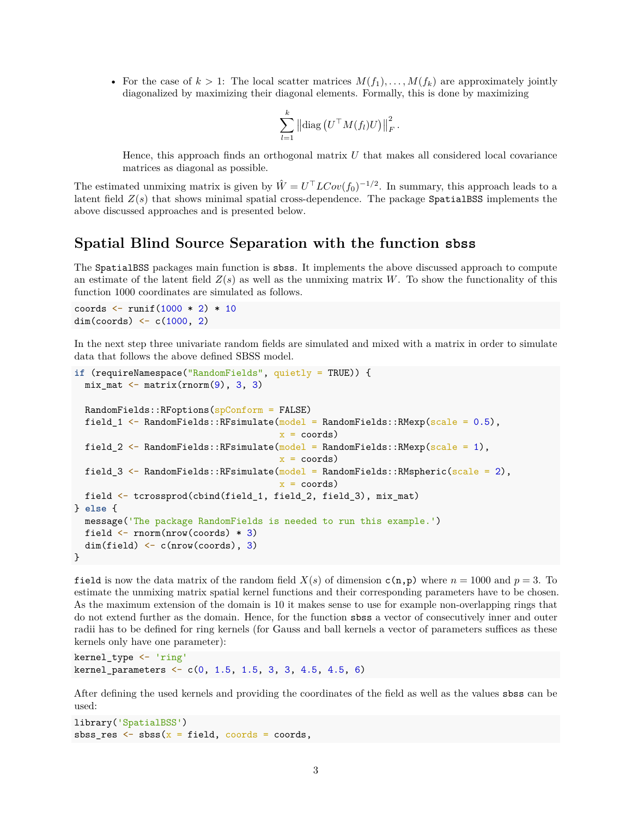• For the case of  $k > 1$ : The local scatter matrices  $M(f_1), \ldots, M(f_k)$  are approximately jointly diagonalized by maximizing their diagonal elements. Formally, this is done by maximizing

$$
\sum_{l=1}^k \left\| \operatorname{diag}\left( U^\top M(f_l) U \right) \right\|_F^2.
$$

Hence, this approach finds an orthogonal matrix *U* that makes all considered local covariance matrices as diagonal as possible.

The estimated unmixing matrix is given by  $\hat{W} = U^{\top} L Cov(f_0)^{-1/2}$ . In summary, this approach leads to a latent field  $Z(s)$  that shows minimal spatial cross-dependence. The package SpatialBSS implements the above discussed approaches and is presented below.

### <span id="page-2-0"></span>**Spatial Blind Source Separation with the function sbss**

The SpatialBSS packages main function is sbss. It implements the above discussed approach to compute an estimate of the latent field  $Z(s)$  as well as the unmixing matrix *W*. To show the functionality of this function 1000 coordinates are simulated as follows.

coords  $\le$  runif(1000  $*$  2)  $*$  10 dim(coords)  $\leftarrow$  c(1000, 2)

In the next step three univariate random fields are simulated and mixed with a matrix in order to simulate data that follows the above defined SBSS model.

```
if (requireNamespace("RandomFields", quietly = TRUE)) {
  mix_matrix <- matrix(rnorm(9), 3, 3)RandomFields::RFoptions(spConform = FALSE)
  field_1 \leq RandomFields::RFsimulate(model = RandomFields::RMexp(scale = 0.5),
                                       x = coords)
  field_2 <- RandomFields::RFsimulate(\text{model} = RandomFields::RMexp(scale = 1),
                                       x = coords)
  field_3 \leftarrow RandomFields::RFsimulate(model = RandomFields::RMspheric(scale = 2),
                                       x = coords)
  field <- tcrossprod(cbind(field_1, field_2, field_3), mix_mat)
} else {
  message('The package RandomFields is needed to run this example.')
  field <- rnorm(nrow(coords) * 3)
  dim(field) <- c(nrow(coords), 3)
}
```
field is now the data matrix of the random field  $X(s)$  of dimension  $c(n,p)$  where  $n = 1000$  and  $p = 3$ . To estimate the unmixing matrix spatial kernel functions and their corresponding parameters have to be chosen. As the maximum extension of the domain is 10 it makes sense to use for example non-overlapping rings that do not extend further as the domain. Hence, for the function sbss a vector of consecutively inner and outer radii has to be defined for ring kernels (for Gauss and ball kernels a vector of parameters suffices as these kernels only have one parameter):

```
kernel_type <- 'ring'
kernel_parameters <- c(0, 1.5, 1.5, 3, 3, 4.5, 4.5, 6)
```
After defining the used kernels and providing the coordinates of the field as well as the values sbss can be used:

```
library('SpatialBSS')
sbss_res \leq sbss(x = field, coords = coords,
```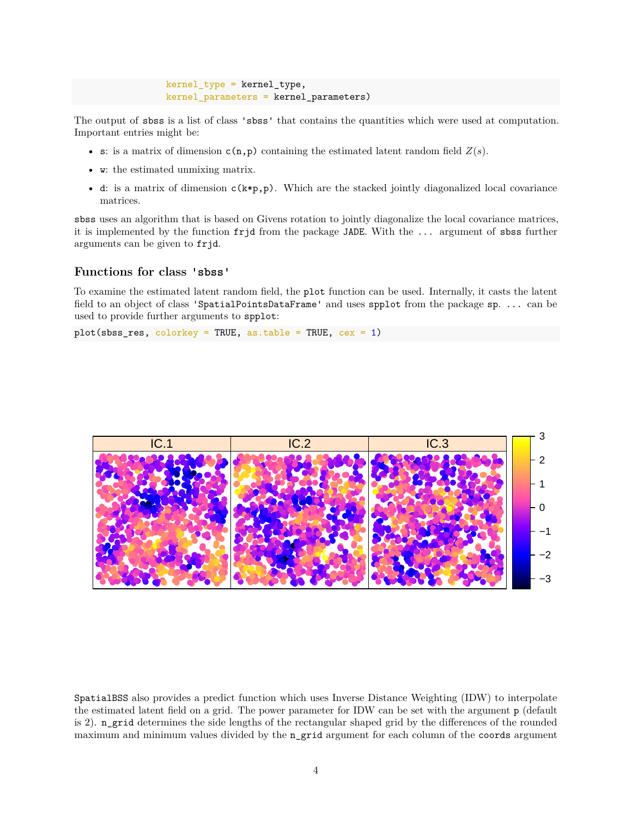```
kernel_type = kernel_type,
kernel_parameters = kernel_parameters)
```
The output of sbss is a list of class 'sbss' that contains the quantities which were used at computation. Important entries might be:

- s: is a matrix of dimension  $c(n,p)$  containing the estimated latent random field  $Z(s)$ .
- w: the estimated unmixing matrix.
- d: is a matrix of dimension  $c(k*p,p)$ . Which are the stacked jointly diagonalized local covariance matrices.

sbss uses an algorithm that is based on Givens rotation to jointly diagonalize the local covariance matrices, it is implemented by the function frjd from the package JADE. With the ... argument of sbss further arguments can be given to frjd.

#### <span id="page-3-0"></span>**Functions for class 'sbss'**

To examine the estimated latent random field, the plot function can be used. Internally, it casts the latent field to an object of class 'SpatialPointsDataFrame' and uses spplot from the package sp. ... can be used to provide further arguments to spplot:

 $plot(sbss,res, colorkey = TRUE, as.table = TRUE, cex = 1)$ 



SpatialBSS also provides a predict function which uses Inverse Distance Weighting (IDW) to interpolate the estimated latent field on a grid. The power parameter for IDW can be set with the argument p (default is 2). n\_grid determines the side lengths of the rectangular shaped grid by the differences of the rounded maximum and minimum values divided by the n grid argument for each column of the coords argument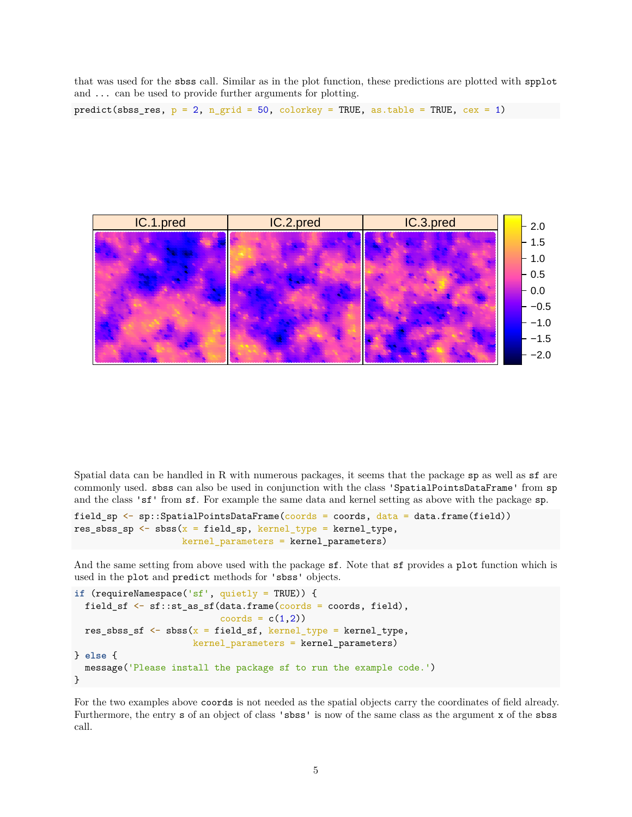that was used for the sbss call. Similar as in the plot function, these predictions are plotted with spplot and ... can be used to provide further arguments for plotting.

```
predict(sbss_res, p = 2, n_grid = 50, colorkey = TRUE, as.table = TRUE, cex = 1)
```


Spatial data can be handled in R with numerous packages, it seems that the package sp as well as sf are commonly used. sbss can also be used in conjunction with the class 'SpatialPointsDataFrame' from sp and the class 'sf' from sf. For example the same data and kernel setting as above with the package sp.

```
field_sp <- sp::SpatialPointsDataFrame(coords = coords, data = data.frame(field))
res_sbss_sp \leq sbss(x = field_sp, kernel_type = kernel_type,
                    kernel_parameters = kernel_parameters)
```
And the same setting from above used with the package sf. Note that sf provides a plot function which is used in the plot and predict methods for 'sbss' objects.

```
if (requireNamespace('sf', quietly = TRUE)) {
  field_sf <- sf::st_as_sf(data.frame(coords = coords, field),
                           coords = c(1,2))
 res_sbss_sf \leq sbss(x = field_sf, kernel_type = kernel_type,
                      kernel parameters = kernel parameters)
} else {
  message('Please install the package sf to run the example code.')
}
```
For the two examples above coords is not needed as the spatial objects carry the coordinates of field already. Furthermore, the entry s of an object of class 'sbss' is now of the same class as the argument x of the sbss call.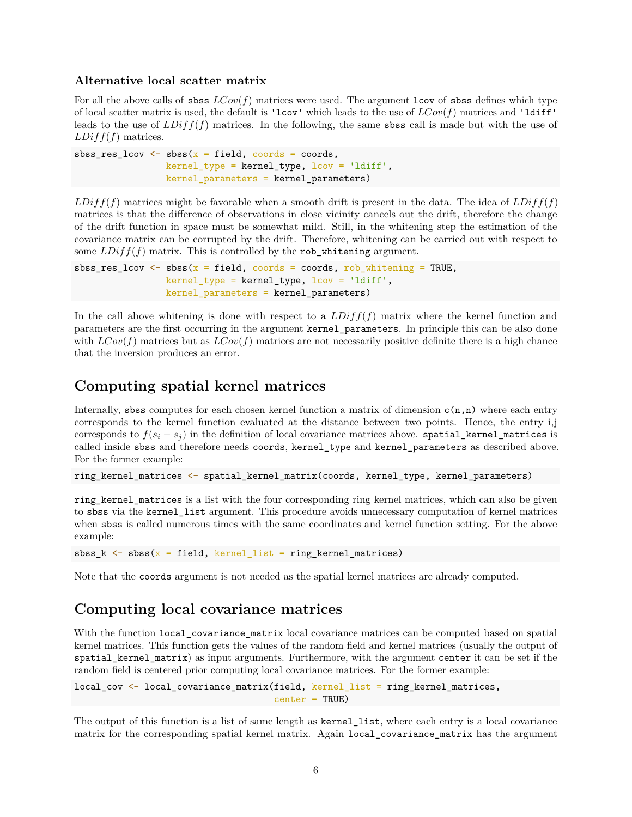#### <span id="page-5-0"></span>**Alternative local scatter matrix**

For all the above calls of sbss  $LCov(f)$  matrices were used. The argument lcov of sbss defines which type of local scatter matrix is used, the default is 'lcov' which leads to the use of *LCov*(*f*) matrices and 'ldiff' leads to the use of *LDiff*(*f*) matrices. In the following, the same sbss call is made but with the use of *LDiff*(*f*) matrices.

```
sbss_res_lcov \leftarrow sbss(x = field, coords = coords,
                  kernel_type = kernel_type, lcov = 'ldiff',
                  kernel_parameters = kernel_parameters)
```
 $LDiff(f)$  matrices might be favorable when a smooth drift is present in the data. The idea of  $LDiff(f)$ matrices is that the difference of observations in close vicinity cancels out the drift, therefore the change of the drift function in space must be somewhat mild. Still, in the whitening step the estimation of the covariance matrix can be corrupted by the drift. Therefore, whitening can be carried out with respect to some  $LDiff(f)$  matrix. This is controlled by the rob\_whitening argument.

```
sbss_res_lcov \leq sbss(x = field, coords = coords, rob_whitening = TRUE,
                 kernel_type = kernel_type, lcov = 'ldiff',
                 kernel_parameters = kernel_parameters)
```
In the call above whitening is done with respect to a *LDiff*(*f*) matrix where the kernel function and parameters are the first occurring in the argument kernel\_parameters. In principle this can be also done with  $LCov(f)$  matrices but as  $LCov(f)$  matrices are not necessarily positive definite there is a high chance that the inversion produces an error.

### <span id="page-5-1"></span>**Computing spatial kernel matrices**

Internally, sbss computes for each chosen kernel function a matrix of dimension  $c(n,n)$  where each entry corresponds to the kernel function evaluated at the distance between two points. Hence, the entry i,j corresponds to  $f(s_i - s_j)$  in the definition of local covariance matrices above. spatial\_kernel\_matrices is called inside sbss and therefore needs coords, kernel\_type and kernel\_parameters as described above. For the former example:

```
ring_kernel_matrices <- spatial_kernel_matrix(coords, kernel_type, kernel_parameters)
```
ring\_kernel\_matrices is a list with the four corresponding ring kernel matrices, which can also be given to sbss via the kernel\_list argument. This procedure avoids unnecessary computation of kernel matrices when sbss is called numerous times with the same coordinates and kernel function setting. For the above example:

sbss\_k  $\leftarrow$  sbss(x = field, kernel\_list = ring\_kernel\_matrices)

Note that the coords argument is not needed as the spatial kernel matrices are already computed.

# <span id="page-5-2"></span>**Computing local covariance matrices**

With the function local\_covariance\_matrix local covariance matrices can be computed based on spatial kernel matrices. This function gets the values of the random field and kernel matrices (usually the output of spatial\_kernel\_matrix) as input arguments. Furthermore, with the argument center it can be set if the random field is centered prior computing local covariance matrices. For the former example:

```
local_cov <- local_covariance_matrix(field, kernel_list = ring_kernel_matrices,
                                     center = TRUE)
```
The output of this function is a list of same length as kernel\_list, where each entry is a local covariance matrix for the corresponding spatial kernel matrix. Again local\_covariance\_matrix has the argument